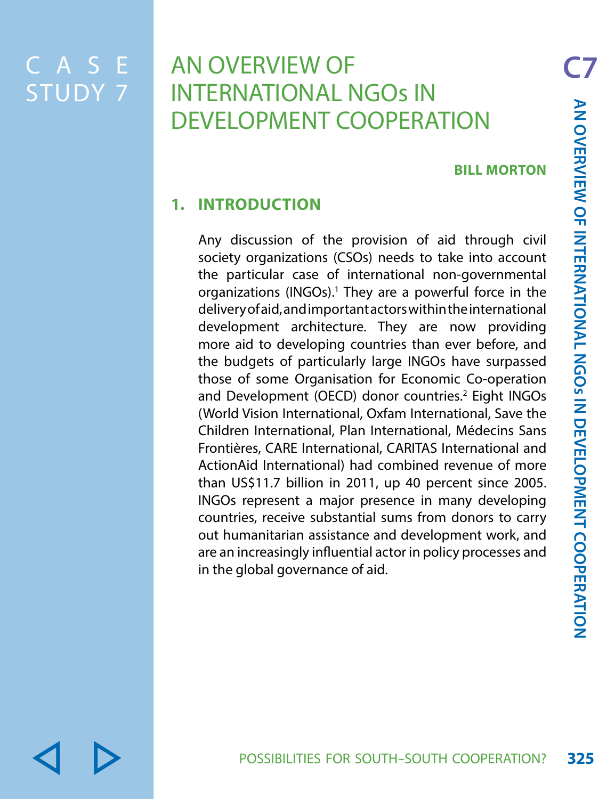C A S E STUDY 7

# **AN OVERVIEW OF** INTERNATIONAL NGOs IN DEVELOPMENT COOPERATION

#### **BILL MORTON**

## **1. INTRODUCTION**

Any discussion of the provision of aid through civil society organizations (CSOs) needs to take into account the particular case of international non-governmental organizations (INGOs).<sup>1</sup> They are a powerful force in the delivery of aid, and important actors within the international development architecture. They are now providing more aid to developing countries than ever before, and the budgets of particularly large INGOs have surpassed those of some Organisation for Economic Co-operation and Development (OECD) donor countries.<sup>2</sup> Eight INGOs (World Vision International, Oxfam International, Save the Children International, Plan International, Médecins Sans Frontières, CARE International, CARITAS International and ActionAid International) had combined revenue of more than US\$11.7 billion in 2011, up 40 percent since 2005. INGOs represent a major presence in many developing countries, receive substantial sums from donors to carry out humanitarian assistance and development work, and are an increasingly influential actor in policy processes and in the global governance of aid.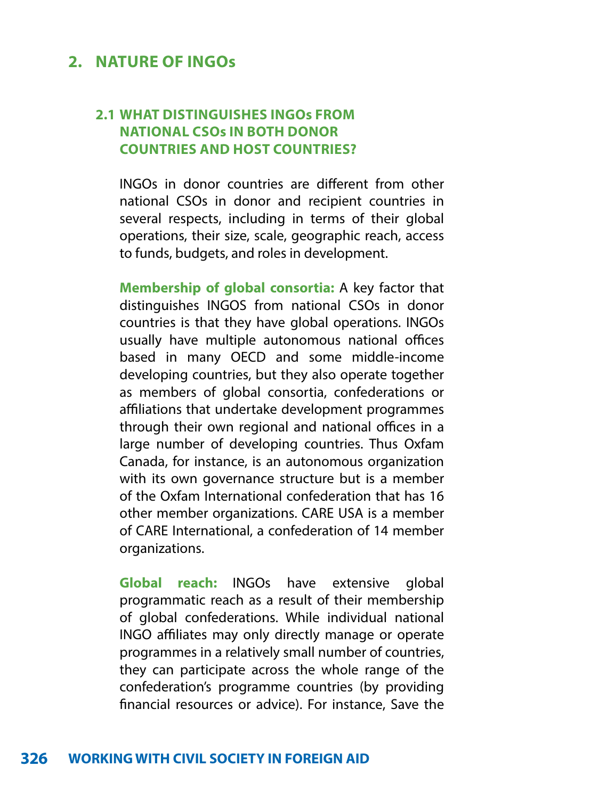## **2. NATURE OF INGOs**

### **2.1 WHAT DISTINGUISHES INGOs FROM NATIONAL CSOs IN BOTH DONOR COUNTRIES AND HOST COUNTRIES?**

INGOs in donor countries are different from other national CSOs in donor and recipient countries in several respects, including in terms of their global operations, their size, scale, geographic reach, access to funds, budgets, and roles in development.

**Membership of global consortia:** A key factor that distinguishes INGOS from national CSOs in donor countries is that they have global operations. INGOs usually have multiple autonomous national offices based in many OECD and some middle-income developing countries, but they also operate together as members of global consortia, confederations or affiliations that undertake development programmes through their own regional and national offices in a large number of developing countries. Thus Oxfam Canada, for instance, is an autonomous organization with its own governance structure but is a member of the Oxfam International confederation that has 16 other member organizations. CARE USA is a member of CARE International, a confederation of 14 member organizations.

**Global reach:** INGOs have extensive global programmatic reach as a result of their membership of global confederations. While individual national INGO affiliates may only directly manage or operate programmes in a relatively small number of countries, they can participate across the whole range of the confederation's programme countries (by providing financial resources or advice). For instance, Save the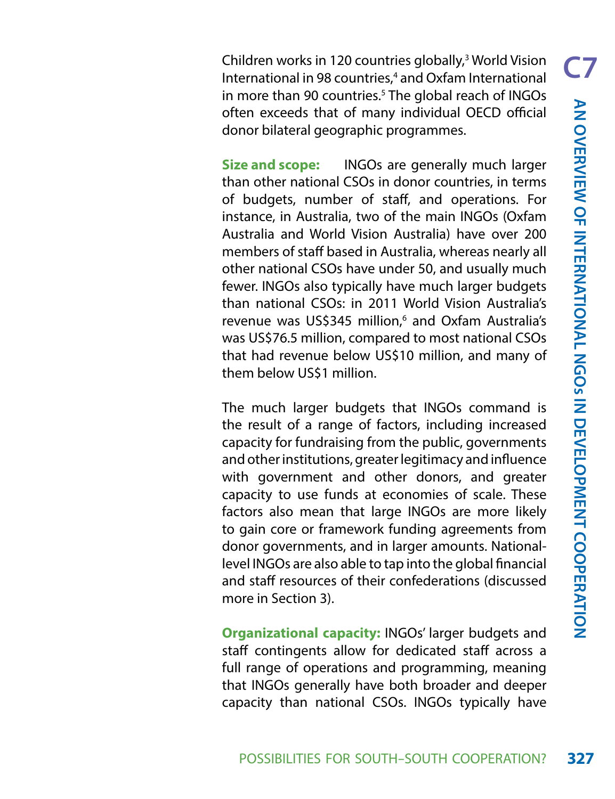Children works in 120 countries globally,<sup>3</sup> World Vision International in 98 countries,<sup>4</sup> and Oxfam International in more than 90 countries.<sup>5</sup> The global reach of INGOs often exceeds that of many individual OECD official donor bilateral geographic programmes.

**Size and scope:** INGOs are generally much larger than other national CSOs in donor countries, in terms of budgets, number of staff, and operations. For instance, in Australia, two of the main INGOs (Oxfam Australia and World Vision Australia) have over 200 members of staff based in Australia, whereas nearly all other national CSOs have under 50, and usually much fewer. INGOs also typically have much larger budgets than national CSOs: in 2011 World Vision Australia's revenue was US\$345 million,<sup>6</sup> and Oxfam Australia's was US\$76.5 million, compared to most national CSOs that had revenue below US\$10 million, and many of them below US\$1 million.

The much larger budgets that INGOs command is the result of a range of factors, including increased capacity for fundraising from the public, governments and other institutions, greater legitimacy and influence with government and other donors, and greater capacity to use funds at economies of scale. These factors also mean that large INGOs are more likely to gain core or framework funding agreements from donor governments, and in larger amounts. Nationallevel INGOs are also able to tap into the global financial and staff resources of their confederations (discussed more in Section 3).

**Organizational capacity:** INGOs' larger budgets and staff contingents allow for dedicated staff across a full range of operations and programming, meaning that INGOs generally have both broader and deeper capacity than national CSOs. INGOs typically have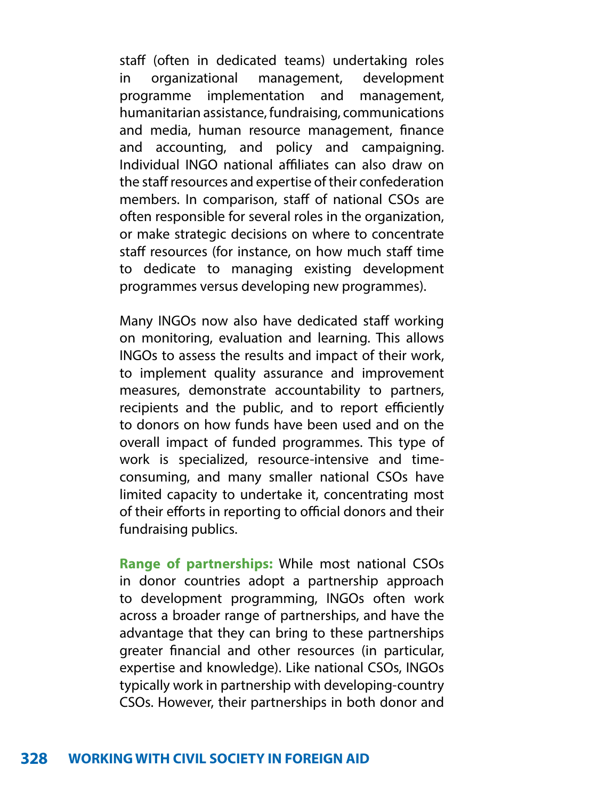staff (often in dedicated teams) undertaking roles in organizational management, development programme implementation and management, humanitarian assistance, fundraising, communications and media, human resource management, finance and accounting, and policy and campaigning. Individual INGO national affiliates can also draw on the staff resources and expertise of their confederation members. In comparison, staff of national CSOs are often responsible for several roles in the organization, or make strategic decisions on where to concentrate staff resources (for instance, on how much staff time to dedicate to managing existing development programmes versus developing new programmes).

Many INGOs now also have dedicated staff working on monitoring, evaluation and learning. This allows INGOs to assess the results and impact of their work, to implement quality assurance and improvement measures, demonstrate accountability to partners, recipients and the public, and to report efficiently to donors on how funds have been used and on the overall impact of funded programmes. This type of work is specialized, resource-intensive and timeconsuming, and many smaller national CSOs have limited capacity to undertake it, concentrating most of their efforts in reporting to official donors and their fundraising publics.

**Range of partnerships:** While most national CSOs in donor countries adopt a partnership approach to development programming, INGOs often work across a broader range of partnerships, and have the advantage that they can bring to these partnerships greater financial and other resources (in particular, expertise and knowledge). Like national CSOs, INGOs typically work in partnership with developing-country CSOs. However, their partnerships in both donor and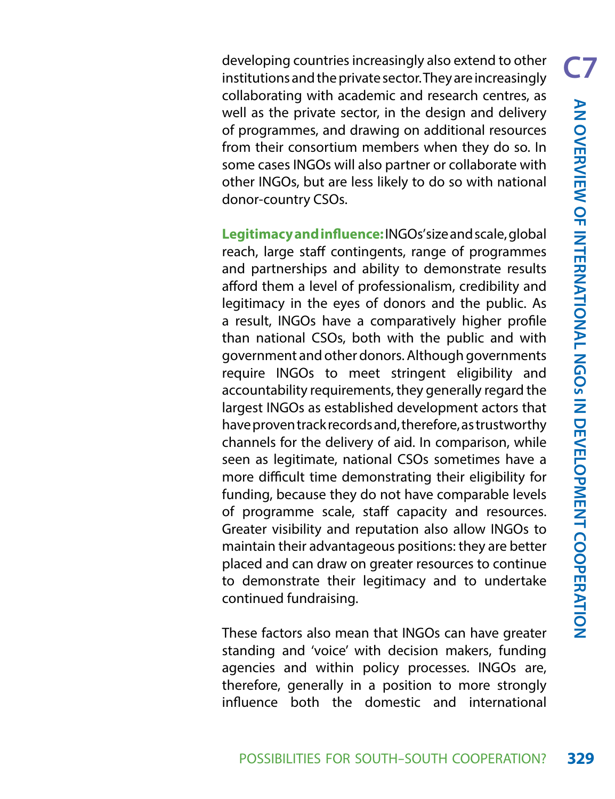developing countries increasingly also extend to other institutions and the private sector. They are increasingly collaborating with academic and research centres, as well as the private sector, in the design and delivery of programmes, and drawing on additional resources from their consortium members when they do so. In some cases INGOs will also partner or collaborate with other INGOs, but are less likely to do so with national donor-country CSOs.

**Legitimacy and influence:** INGOs' size and scale, global reach, large staff contingents, range of programmes and partnerships and ability to demonstrate results afford them a level of professionalism, credibility and legitimacy in the eyes of donors and the public. As a result, INGOs have a comparatively higher profile than national CSOs, both with the public and with government and other donors. Although governments require INGOs to meet stringent eligibility and accountability requirements, they generally regard the largest INGOs as established development actors that have proven track records and, therefore, as trustworthy channels for the delivery of aid. In comparison, while seen as legitimate, national CSOs sometimes have a more difficult time demonstrating their eligibility for funding, because they do not have comparable levels of programme scale, staff capacity and resources. Greater visibility and reputation also allow INGOs to maintain their advantageous positions: they are better placed and can draw on greater resources to continue to demonstrate their legitimacy and to undertake continued fundraising.

These factors also mean that INGOs can have greater standing and 'voice' with decision makers, funding agencies and within policy processes. INGOs are, therefore, generally in a position to more strongly influence both the domestic and international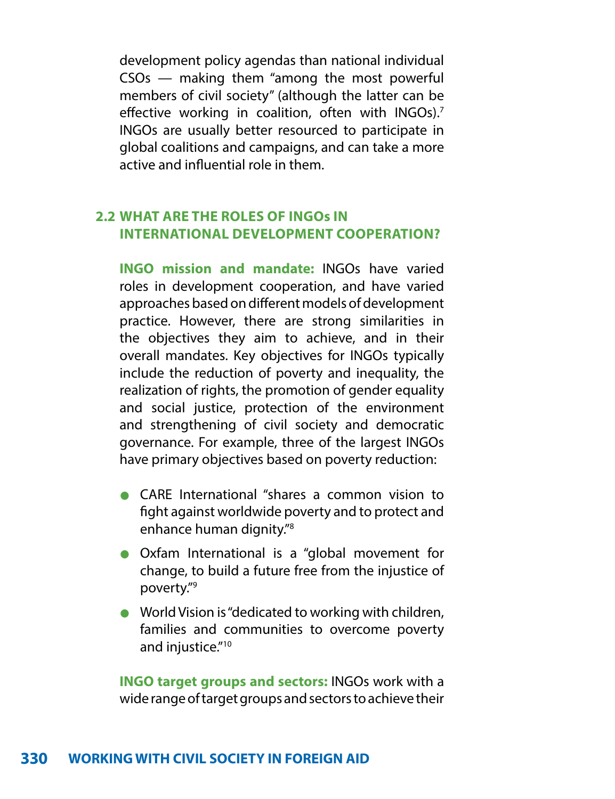development policy agendas than national individual CSOs — making them "among the most powerful members of civil society" (although the latter can be effective working in coalition, often with INGOs).<sup>7</sup> INGOs are usually better resourced to participate in global coalitions and campaigns, and can take a more active and influential role in them.

#### **2.2 WHAT ARE THE ROLES OF INGOs IN INTERNATIONAL DEVELOPMENT COOPERATION?**

**INGO mission and mandate:** INGOs have varied roles in development cooperation, and have varied approaches based on different models of development practice. However, there are strong similarities in the objectives they aim to achieve, and in their overall mandates. Key objectives for INGOs typically include the reduction of poverty and inequality, the realization of rights, the promotion of gender equality and social justice, protection of the environment and strengthening of civil society and democratic governance. For example, three of the largest INGOs have primary objectives based on poverty reduction:

- **•** CARE International "shares a common vision to fight against worldwide poverty and to protect and enhance human dignity."8
- **•** Oxfam International is a "global movement for change, to build a future free from the injustice of poverty."9
- **•** World Vision is "dedicated to working with children, families and communities to overcome poverty and injustice."<sup>10</sup>

**INGO target groups and sectors:** INGOs work with a wide range of target groups and sectors to achieve their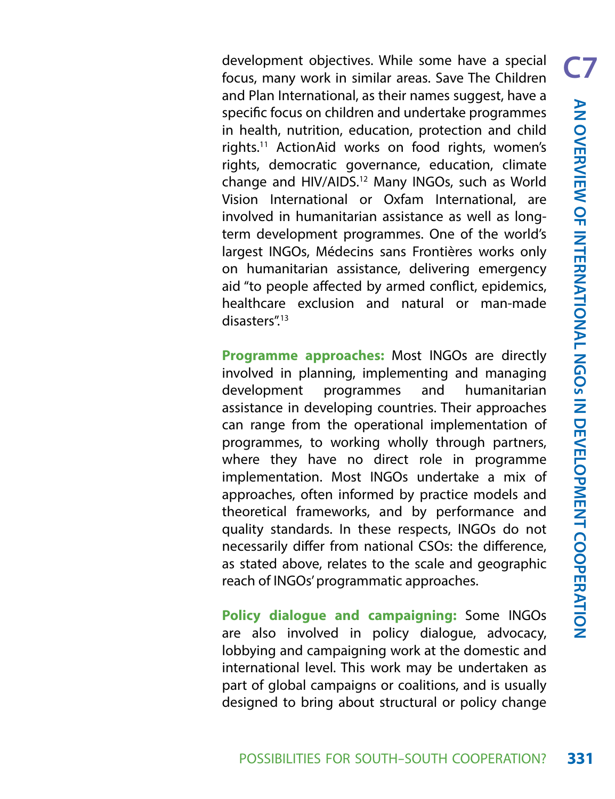development objectives. While some have a special focus, many work in similar areas. Save The Children and Plan International, as their names suggest, have a specific focus on children and undertake programmes in health, nutrition, education, protection and child rights.11 ActionAid works on food rights, women's rights, democratic governance, education, climate change and HIV/AIDS.12 Many INGOs, such as World Vision International or Oxfam International, are involved in humanitarian assistance as well as longterm development programmes. One of the world's largest INGOs, Médecins sans Frontières works only on humanitarian assistance, delivering emergency aid "to people affected by armed conflict, epidemics, healthcare exclusion and natural or man-made disasters".13

**Programme approaches:** Most INGOs are directly involved in planning, implementing and managing development programmes and humanitarian assistance in developing countries. Their approaches can range from the operational implementation of programmes, to working wholly through partners, where they have no direct role in programme implementation. Most INGOs undertake a mix of approaches, often informed by practice models and theoretical frameworks, and by performance and quality standards. In these respects, INGOs do not necessarily differ from national CSOs: the difference, as stated above, relates to the scale and geographic reach of INGOs' programmatic approaches.

**Policy dialogue and campaigning:** Some INGOs are also involved in policy dialogue, advocacy, lobbying and campaigning work at the domestic and international level. This work may be undertaken as part of global campaigns or coalitions, and is usually designed to bring about structural or policy change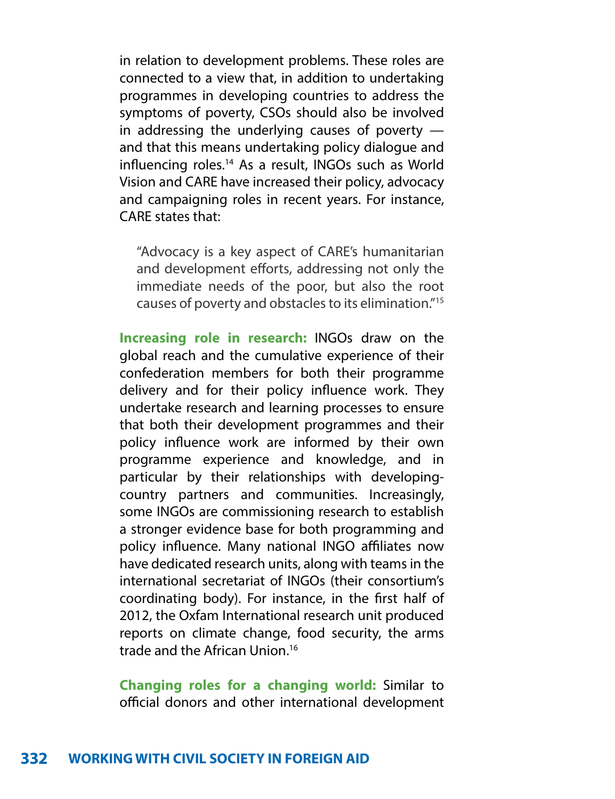in relation to development problems. These roles are connected to a view that, in addition to undertaking programmes in developing countries to address the symptoms of poverty, CSOs should also be involved in addressing the underlying causes of poverty and that this means undertaking policy dialogue and influencing roles.14 As a result, INGOs such as World Vision and CARE have increased their policy, advocacy and campaigning roles in recent years. For instance, CARE states that:

"Advocacy is a key aspect of CARE's humanitarian and development efforts, addressing not only the immediate needs of the poor, but also the root causes of poverty and obstacles to its elimination."15

**Increasing role in research:** INGOs draw on the global reach and the cumulative experience of their confederation members for both their programme delivery and for their policy influence work. They undertake research and learning processes to ensure that both their development programmes and their policy influence work are informed by their own programme experience and knowledge, and in particular by their relationships with developingcountry partners and communities. Increasingly, some INGOs are commissioning research to establish a stronger evidence base for both programming and policy influence. Many national INGO affiliates now have dedicated research units, along with teams in the international secretariat of INGOs (their consortium's coordinating body). For instance, in the first half of 2012, the Oxfam International research unit produced reports on climate change, food security, the arms trade and the African Union.16

**Changing roles for a changing world:** Similar to official donors and other international development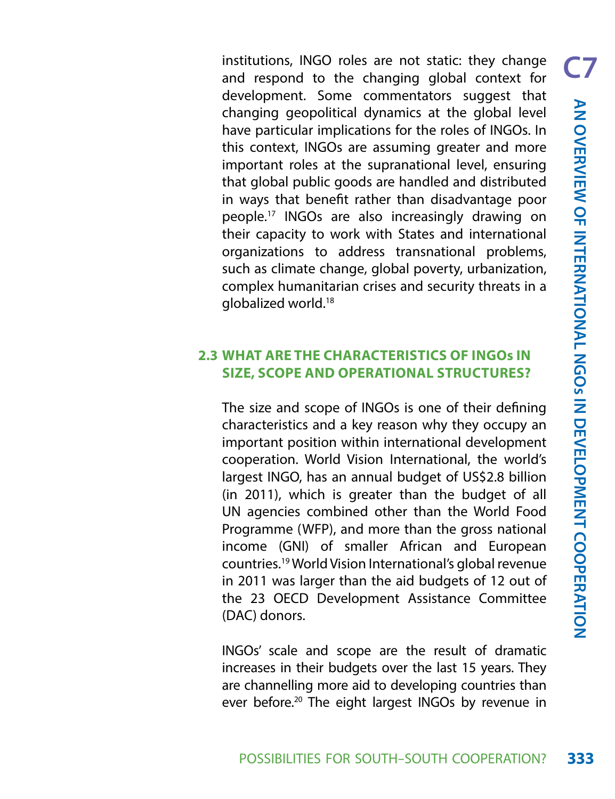institutions, INGO roles are not static: they change and respond to the changing global context for development. Some commentators suggest that changing geopolitical dynamics at the global level have particular implications for the roles of INGOs. In this context, INGOs are assuming greater and more important roles at the supranational level, ensuring that global public goods are handled and distributed in ways that benefit rather than disadvantage poor people.17 INGOs are also increasingly drawing on their capacity to work with States and international organizations to address transnational problems, such as climate change, global poverty, urbanization, complex humanitarian crises and security threats in a globalized world.18

#### **2.3 WHAT ARE THE CHARACTERISTICS OF INGOs IN SIZE, SCOPE AND OPERATIONAL STRUCTURES?**

The size and scope of INGOs is one of their defining characteristics and a key reason why they occupy an important position within international development cooperation. World Vision International, the world's largest INGO, has an annual budget of US\$2.8 billion (in 2011), which is greater than the budget of all UN agencies combined other than the World Food Programme (WFP), and more than the gross national income (GNI) of smaller African and European countries.19 World Vision International's global revenue in 2011 was larger than the aid budgets of 12 out of the 23 OECD Development Assistance Committee (DAC) donors.

INGOs' scale and scope are the result of dramatic increases in their budgets over the last 15 years. They are channelling more aid to developing countries than ever before.20 The eight largest INGOs by revenue in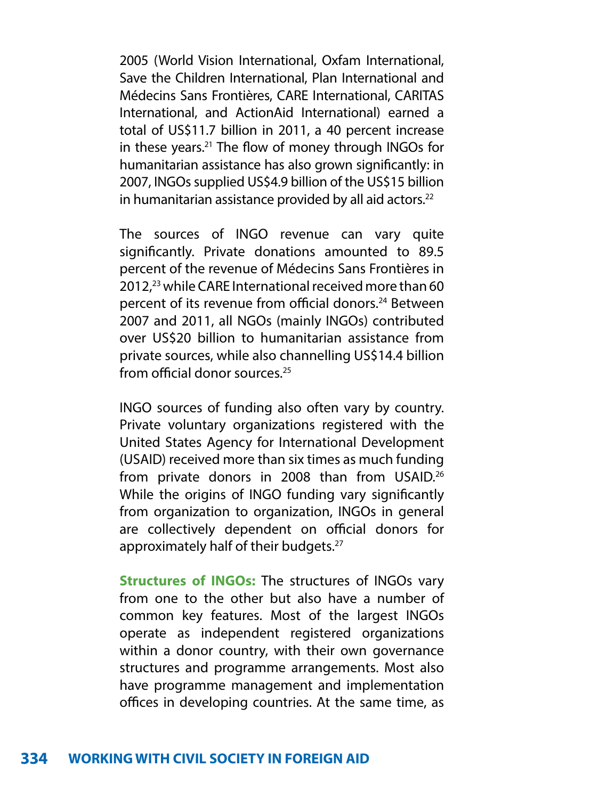2005 (World Vision International, Oxfam International, Save the Children International, Plan International and Médecins Sans Frontières, CARE International, CARITAS International, and ActionAid International) earned a total of US\$11.7 billion in 2011, a 40 percent increase in these years.21 The flow of money through INGOs for humanitarian assistance has also grown significantly: in 2007, INGOs supplied US\$4.9 billion of the US\$15 billion in humanitarian assistance provided by all aid actors. $22$ 

The sources of INGO revenue can vary quite significantly. Private donations amounted to 89.5 percent of the revenue of Médecins Sans Frontières in 2012,23 while CARE International received more than 60 percent of its revenue from official donors.<sup>24</sup> Between 2007 and 2011, all NGOs (mainly INGOs) contributed over US\$20 billion to humanitarian assistance from private sources, while also channelling US\$14.4 billion from official donor sources.25

INGO sources of funding also often vary by country. Private voluntary organizations registered with the United States Agency for International Development (USAID) received more than six times as much funding from private donors in 2008 than from USAID.<sup>26</sup> While the origins of INGO funding vary significantly from organization to organization, INGOs in general are collectively dependent on official donors for approximately half of their budgets.27

**Structures of INGOs:** The structures of INGOs vary from one to the other but also have a number of common key features. Most of the largest INGOs operate as independent registered organizations within a donor country, with their own governance structures and programme arrangements. Most also have programme management and implementation offices in developing countries. At the same time, as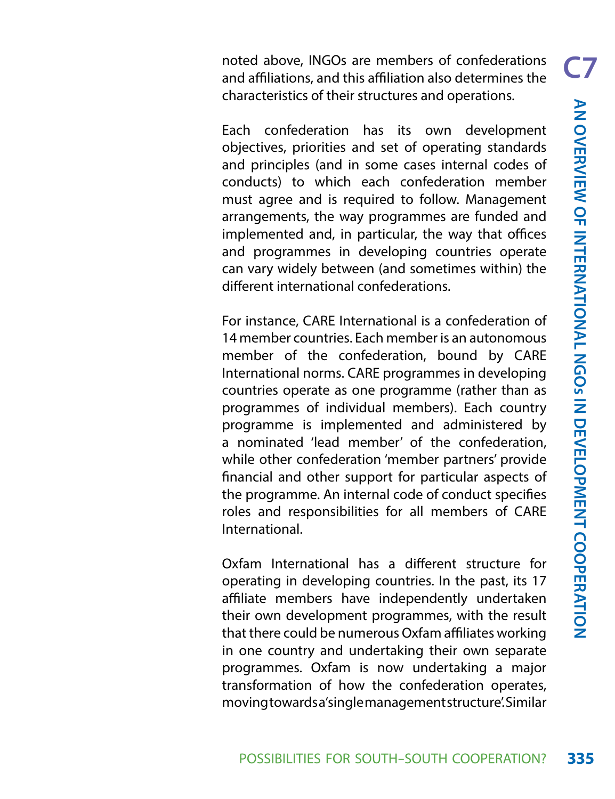noted above, INGOs are members of confederations and affiliations, and this affiliation also determines the characteristics of their structures and operations.

Each confederation has its own development objectives, priorities and set of operating standards and principles (and in some cases internal codes of conducts) to which each confederation member must agree and is required to follow. Management arrangements, the way programmes are funded and implemented and, in particular, the way that offices and programmes in developing countries operate can vary widely between (and sometimes within) the different international confederations.

For instance, CARE International is a confederation of 14 member countries. Each member is an autonomous member of the confederation, bound by CARE International norms. CARE programmes in developing countries operate as one programme (rather than as programmes of individual members). Each country programme is implemented and administered by a nominated 'lead member' of the confederation, while other confederation 'member partners' provide financial and other support for particular aspects of the programme. An internal code of conduct specifies roles and responsibilities for all members of CARE International.

Oxfam International has a different structure for operating in developing countries. In the past, its 17 affiliate members have independently undertaken their own development programmes, with the result that there could be numerous Oxfam affiliates working in one country and undertaking their own separate programmes. Oxfam is now undertaking a major transformation of how the confederation operates, moving towards a 'single management structure'. Similar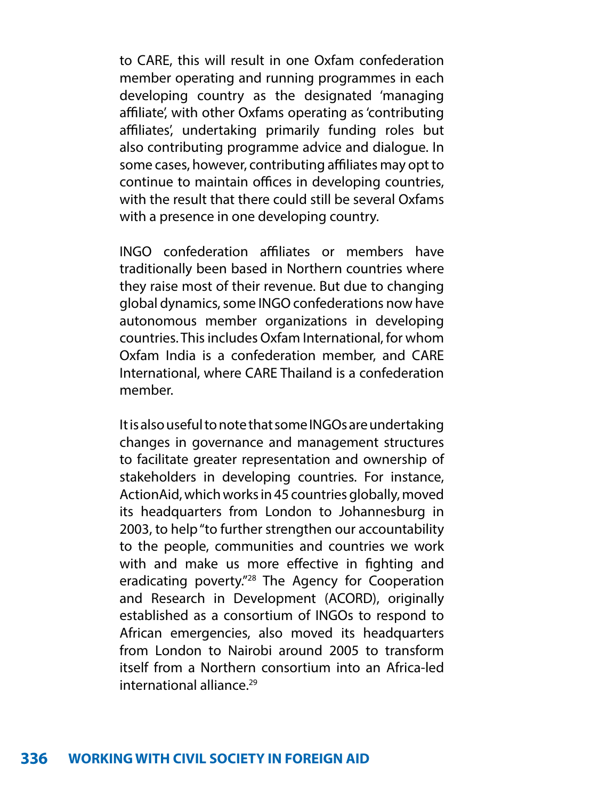to CARE, this will result in one Oxfam confederation member operating and running programmes in each developing country as the designated 'managing affiliate', with other Oxfams operating as 'contributing affiliates', undertaking primarily funding roles but also contributing programme advice and dialogue. In some cases, however, contributing affiliates may opt to continue to maintain offices in developing countries, with the result that there could still be several Oxfams with a presence in one developing country.

INGO confederation affiliates or members have traditionally been based in Northern countries where they raise most of their revenue. But due to changing global dynamics, some INGO confederations now have autonomous member organizations in developing countries. This includes Oxfam International, for whom Oxfam India is a confederation member, and CARE International, where CARE Thailand is a confederation member.

It is also useful to note that some INGOs are undertaking changes in governance and management structures to facilitate greater representation and ownership of stakeholders in developing countries. For instance, ActionAid, which works in 45 countries globally, moved its headquarters from London to Johannesburg in 2003, to help "to further strengthen our accountability to the people, communities and countries we work with and make us more effective in fighting and eradicating poverty."28 The Agency for Cooperation and Research in Development (ACORD), originally established as a consortium of INGOs to respond to African emergencies, also moved its headquarters from London to Nairobi around 2005 to transform itself from a Northern consortium into an Africa-led international alliance<sup>29</sup>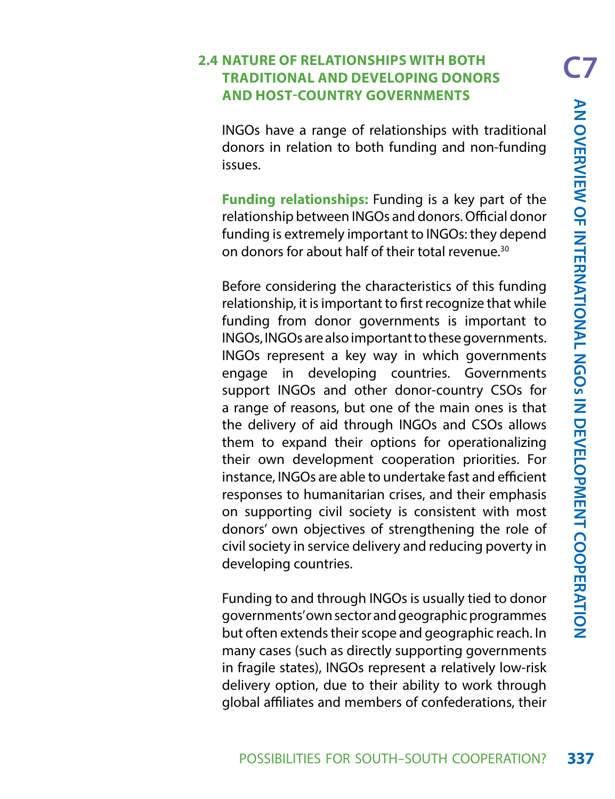#### **2.4 NATURE OF RELATIONSHIPS WITH BOTH TRADITIONAL AND DEVELOPING DONORS AND HOST-COUNTRY GOVERNMENTS**

INGOs have a range of relationships with traditional donors in relation to both funding and non-funding issues.

**Funding relationships:** Funding is a key part of the relationship between INGOs and donors. Official donor funding is extremely important to INGOs: they depend on donors for about half of their total revenue.30

Before considering the characteristics of this funding relationship, it is important to first recognize that while funding from donor governments is important to INGOs, INGOs are also important to these governments. INGOs represent a key way in which governments engage in developing countries. Governments support INGOs and other donor-country CSOs for a range of reasons, but one of the main ones is that the delivery of aid through INGOs and CSOs allows them to expand their options for operationalizing their own development cooperation priorities. For instance, INGOs are able to undertake fast and efficient responses to humanitarian crises, and their emphasis on supporting civil society is consistent with most donors' own objectives of strengthening the role of civil society in service delivery and reducing poverty in developing countries.

Funding to and through INGOs is usually tied to donor governments' own sector and geographic programmes but often extends their scope and geographic reach. In many cases (such as directly supporting governments in fragile states), INGOs represent a relatively low-risk delivery option, due to their ability to work through global affiliates and members of confederations, their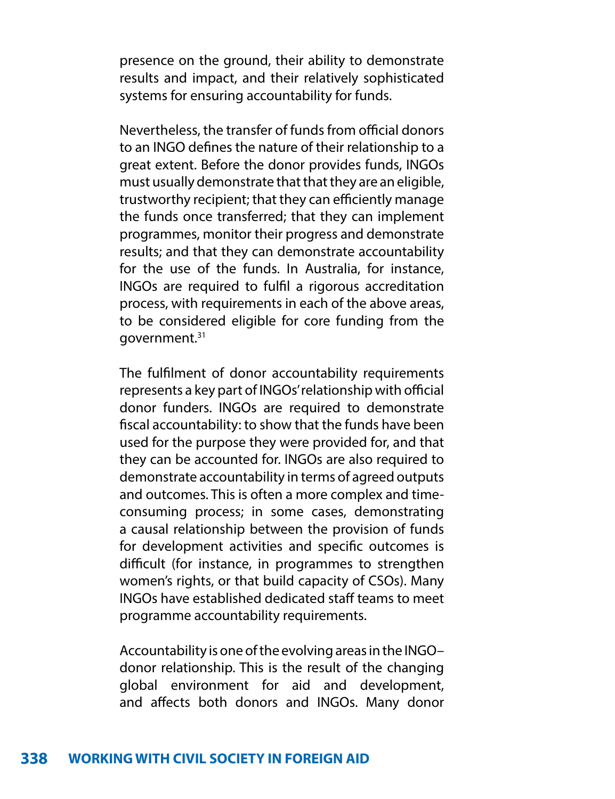presence on the ground, their ability to demonstrate results and impact, and their relatively sophisticated systems for ensuring accountability for funds.

Nevertheless, the transfer of funds from official donors to an INGO defines the nature of their relationship to a great extent. Before the donor provides funds, INGOs must usually demonstrate that that they are an eligible, trustworthy recipient; that they can efficiently manage the funds once transferred; that they can implement programmes, monitor their progress and demonstrate results; and that they can demonstrate accountability for the use of the funds. In Australia, for instance, INGOs are required to fulfil a rigorous accreditation process, with requirements in each of the above areas, to be considered eligible for core funding from the government.31

The fulfilment of donor accountability requirements represents a key part of INGOs' relationship with official donor funders. INGOs are required to demonstrate fiscal accountability: to show that the funds have been used for the purpose they were provided for, and that they can be accounted for. INGOs are also required to demonstrate accountability in terms of agreed outputs and outcomes. This is often a more complex and timeconsuming process; in some cases, demonstrating a causal relationship between the provision of funds for development activities and specific outcomes is difficult (for instance, in programmes to strengthen women's rights, or that build capacity of CSOs). Many INGOs have established dedicated staff teams to meet programme accountability requirements.

Accountability is one of the evolving areas in the INGO– donor relationship. This is the result of the changing global environment for aid and development, and affects both donors and INGOs. Many donor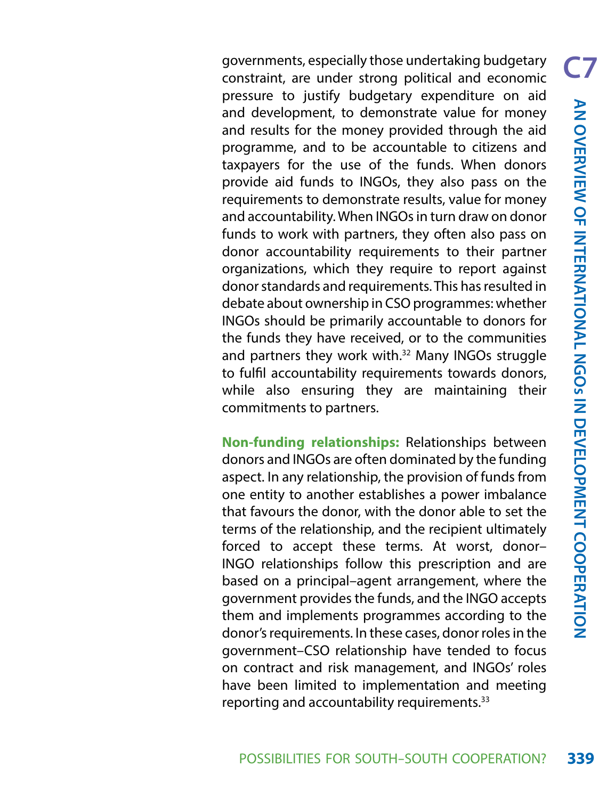governments, especially those undertaking budgetary constraint, are under strong political and economic pressure to justify budgetary expenditure on aid and development, to demonstrate value for money and results for the money provided through the aid programme, and to be accountable to citizens and taxpayers for the use of the funds. When donors provide aid funds to INGOs, they also pass on the requirements to demonstrate results, value for money and accountability. When INGOs in turn draw on donor funds to work with partners, they often also pass on donor accountability requirements to their partner organizations, which they require to report against donor standards and requirements. This has resulted in debate about ownership in CSO programmes: whether INGOs should be primarily accountable to donors for the funds they have received, or to the communities and partners they work with.<sup>32</sup> Many INGOs struggle to fulfil accountability requirements towards donors, while also ensuring they are maintaining their commitments to partners.

**Non-funding relationships:** Relationships between donors and INGOs are often dominated by the funding aspect. In any relationship, the provision of funds from one entity to another establishes a power imbalance that favours the donor, with the donor able to set the terms of the relationship, and the recipient ultimately forced to accept these terms. At worst, donor– INGO relationships follow this prescription and are based on a principal–agent arrangement, where the government provides the funds, and the INGO accepts them and implements programmes according to the donor's requirements. In these cases, donor roles in the government–CSO relationship have tended to focus on contract and risk management, and INGOs' roles have been limited to implementation and meeting reporting and accountability requirements.<sup>33</sup>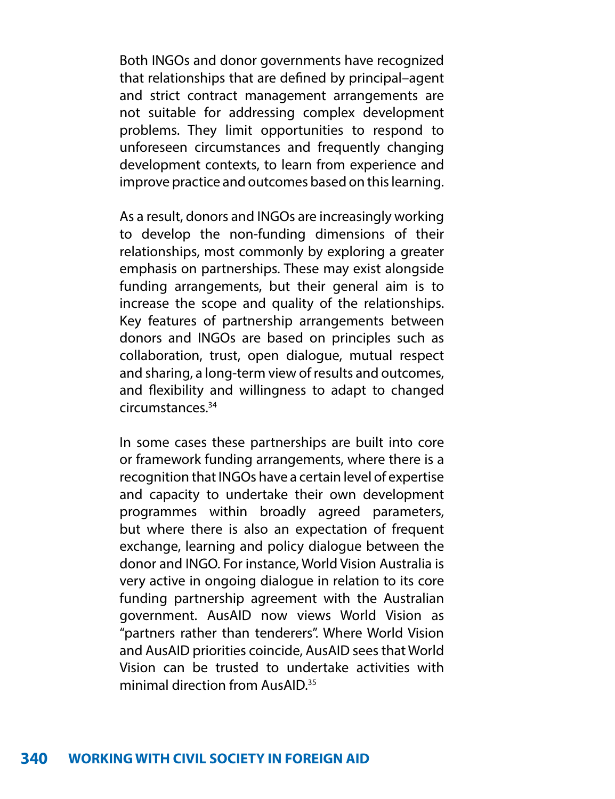Both INGOs and donor governments have recognized that relationships that are defined by principal–agent and strict contract management arrangements are not suitable for addressing complex development problems. They limit opportunities to respond to unforeseen circumstances and frequently changing development contexts, to learn from experience and improve practice and outcomes based on this learning.

As a result, donors and INGOs are increasingly working to develop the non-funding dimensions of their relationships, most commonly by exploring a greater emphasis on partnerships. These may exist alongside funding arrangements, but their general aim is to increase the scope and quality of the relationships. Key features of partnership arrangements between donors and INGOs are based on principles such as collaboration, trust, open dialogue, mutual respect and sharing, a long-term view of results and outcomes, and flexibility and willingness to adapt to changed circumstances.34

In some cases these partnerships are built into core or framework funding arrangements, where there is a recognition that INGOs have a certain level of expertise and capacity to undertake their own development programmes within broadly agreed parameters, but where there is also an expectation of frequent exchange, learning and policy dialogue between the donor and INGO. For instance, World Vision Australia is very active in ongoing dialogue in relation to its core funding partnership agreement with the Australian government. AusAID now views World Vision as "partners rather than tenderers". Where World Vision and AusAID priorities coincide, AusAID sees that World Vision can be trusted to undertake activities with minimal direction from AusAID<sup>35</sup>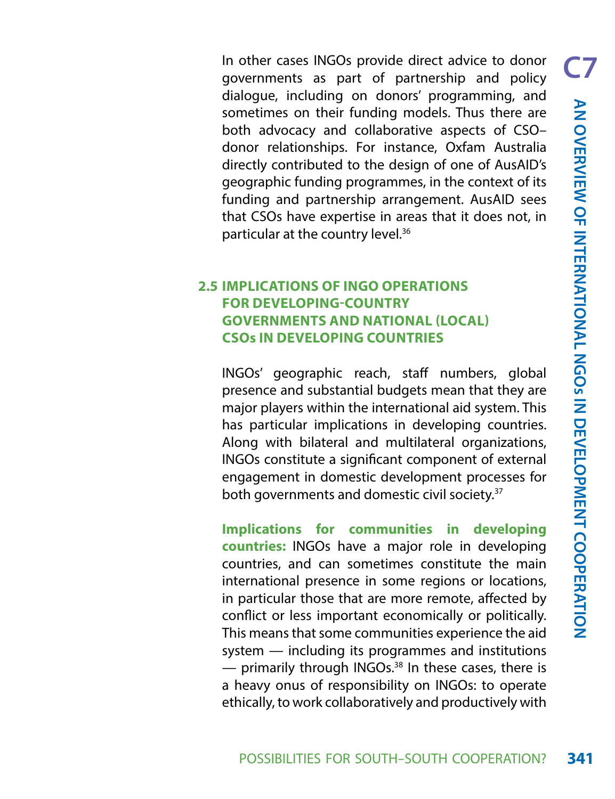In other cases INGOs provide direct advice to donor governments as part of partnership and policy dialogue, including on donors' programming, and sometimes on their funding models. Thus there are both advocacy and collaborative aspects of CSO– donor relationships. For instance, Oxfam Australia directly contributed to the design of one of AusAID's geographic funding programmes, in the context of its funding and partnership arrangement. AusAID sees that CSOs have expertise in areas that it does not, in particular at the country level.<sup>36</sup>

### **2.5 IMPLICATIONS OF INGO OPERATIONS FOR DEVELOPING-COUNTRY GOVERNMENTS AND NATIONAL (LOCAL) CSOs IN DEVELOPING COUNTRIES**

INGOs' geographic reach, staff numbers, global presence and substantial budgets mean that they are major players within the international aid system. This has particular implications in developing countries. Along with bilateral and multilateral organizations, INGOs constitute a significant component of external engagement in domestic development processes for both governments and domestic civil society.37

**Implications for communities in developing countries:** INGOs have a major role in developing countries, and can sometimes constitute the main international presence in some regions or locations, in particular those that are more remote, affected by conflict or less important economically or politically. This means that some communities experience the aid system — including its programmes and institutions  $-$  primarily through INGOs.<sup>38</sup> In these cases, there is a heavy onus of responsibility on INGOs: to operate ethically, to work collaboratively and productively with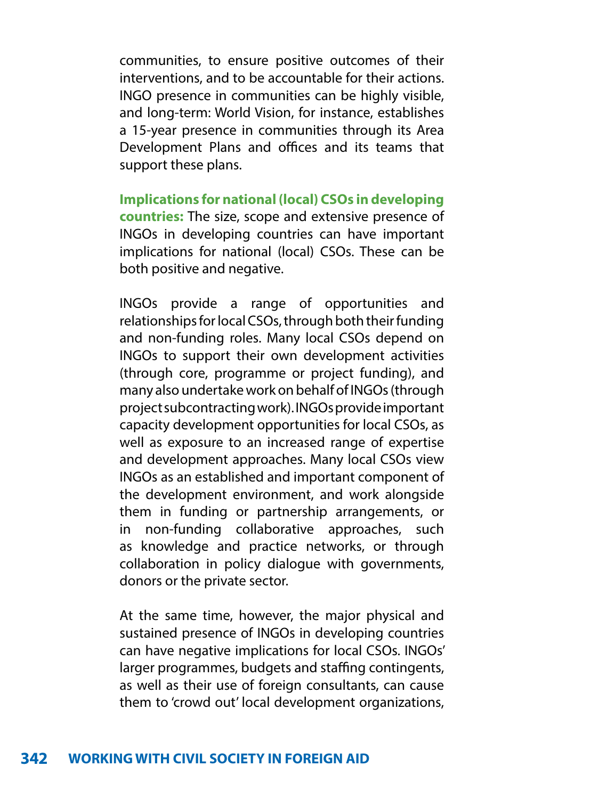communities, to ensure positive outcomes of their interventions, and to be accountable for their actions. INGO presence in communities can be highly visible, and long-term: World Vision, for instance, establishes a 15-year presence in communities through its Area Development Plans and offices and its teams that support these plans.

**Implications for national (local) CSOs in developing countries:** The size, scope and extensive presence of INGOs in developing countries can have important implications for national (local) CSOs. These can be both positive and negative.

INGOs provide a range of opportunities and relationships for local CSOs, through both their funding and non-funding roles. Many local CSOs depend on INGOs to support their own development activities (through core, programme or project funding), and many also undertake work on behalf of INGOs (through project subcontracting work). INGOs provide important capacity development opportunities for local CSOs, as well as exposure to an increased range of expertise and development approaches. Many local CSOs view INGOs as an established and important component of the development environment, and work alongside them in funding or partnership arrangements, or in non-funding collaborative approaches, such as knowledge and practice networks, or through collaboration in policy dialogue with governments, donors or the private sector.

At the same time, however, the major physical and sustained presence of INGOs in developing countries can have negative implications for local CSOs. INGOs' larger programmes, budgets and staffing contingents, as well as their use of foreign consultants, can cause them to 'crowd out' local development organizations,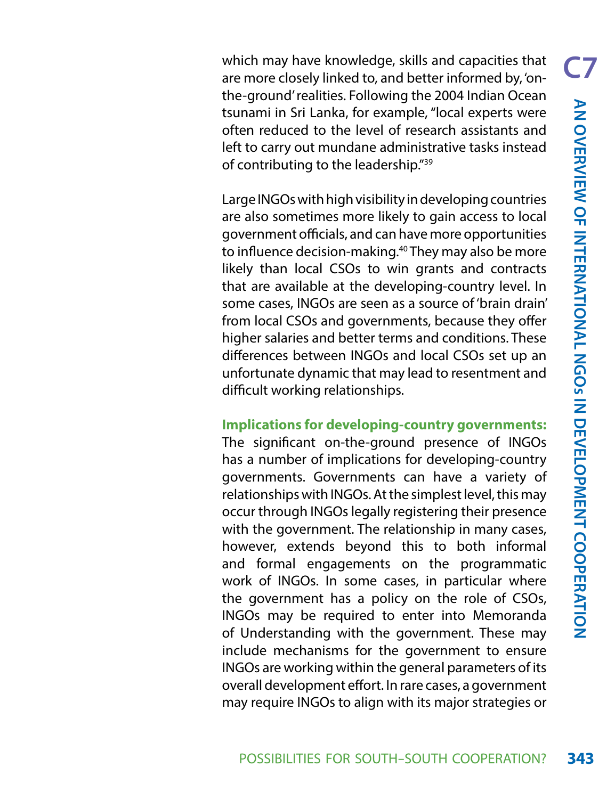which may have knowledge, skills and capacities that are more closely linked to, and better informed by, 'onthe-ground' realities. Following the 2004 Indian Ocean tsunami in Sri Lanka, for example, "local experts were often reduced to the level of research assistants and left to carry out mundane administrative tasks instead of contributing to the leadership."39

Large INGOs with high visibility in developing countries are also sometimes more likely to gain access to local government officials, and can have more opportunities to influence decision-making.40 They may also be more likely than local CSOs to win grants and contracts that are available at the developing-country level. In some cases, INGOs are seen as a source of 'brain drain' from local CSOs and governments, because they offer higher salaries and better terms and conditions. These differences between INGOs and local CSOs set up an unfortunate dynamic that may lead to resentment and difficult working relationships.

### **Implications for developing-country governments:**

The significant on-the-ground presence of INGOs has a number of implications for developing-country governments. Governments can have a variety of relationships with INGOs. At the simplest level, this may occur through INGOs legally registering their presence with the government. The relationship in many cases, however, extends beyond this to both informal and formal engagements on the programmatic work of INGOs. In some cases, in particular where the government has a policy on the role of CSOs, INGOs may be required to enter into Memoranda of Understanding with the government. These may include mechanisms for the government to ensure INGOs are working within the general parameters of its overall development effort. In rare cases, a government may require INGOs to align with its major strategies or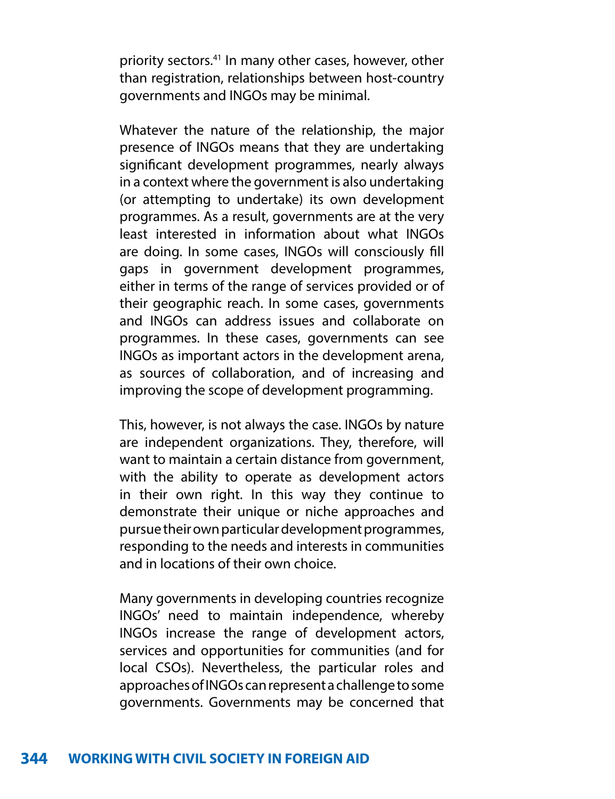priority sectors.41 In many other cases, however, other than registration, relationships between host-country governments and INGOs may be minimal.

Whatever the nature of the relationship, the major presence of INGOs means that they are undertaking significant development programmes, nearly always in a context where the government is also undertaking (or attempting to undertake) its own development programmes. As a result, governments are at the very least interested in information about what INGOs are doing. In some cases, INGOs will consciously fill gaps in government development programmes, either in terms of the range of services provided or of their geographic reach. In some cases, governments and INGOs can address issues and collaborate on programmes. In these cases, governments can see INGOs as important actors in the development arena, as sources of collaboration, and of increasing and improving the scope of development programming.

This, however, is not always the case. INGOs by nature are independent organizations. They, therefore, will want to maintain a certain distance from government, with the ability to operate as development actors in their own right. In this way they continue to demonstrate their unique or niche approaches and pursue their own particular development programmes, responding to the needs and interests in communities and in locations of their own choice.

Many governments in developing countries recognize INGOs' need to maintain independence, whereby INGOs increase the range of development actors, services and opportunities for communities (and for local CSOs). Nevertheless, the particular roles and approaches of INGOs can represent a challenge to some governments. Governments may be concerned that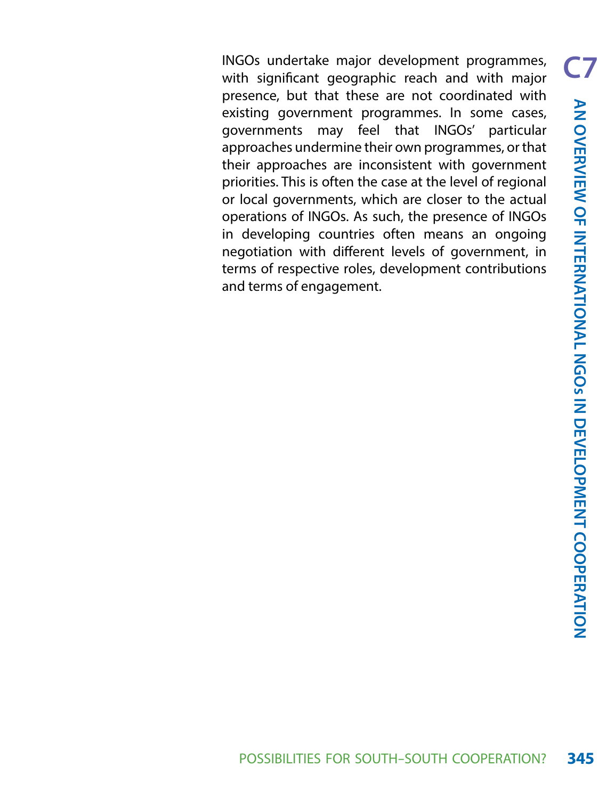INGOs undertake major development programmes, with significant geographic reach and with major presence, but that these are not coordinated with existing government programmes. In some cases, governments may feel that INGOs' particular approaches undermine their own programmes, or that their approaches are inconsistent with government priorities. This is often the case at the level of regional or local governments, which are closer to the actual operations of INGOs. As such, the presence of INGOs in developing countries often means an ongoing negotiation with different levels of government, in terms of respective roles, development contributions and terms of engagement.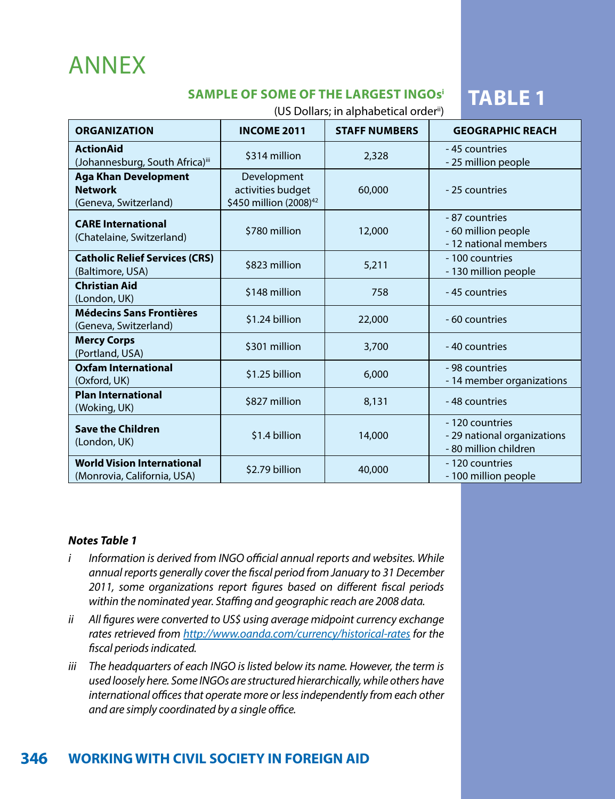# ANNEX

## **SAMPLE OF SOME OF THE LARGEST INGOS<sup>i</sup> TABLE 1**

(US Dollars; in alphabetical orderii)

| <b>ORGANIZATION</b>                                                    | <b>INCOME 2011</b>                                                     | <b>STAFF NUMBERS</b> | <b>GEOGRAPHIC REACH</b>                                                 |
|------------------------------------------------------------------------|------------------------------------------------------------------------|----------------------|-------------------------------------------------------------------------|
| <b>ActionAid</b><br>(Johannesburg, South Africa)iii                    | \$314 million                                                          | 2,328                | -45 countries<br>- 25 million people                                    |
| <b>Aga Khan Development</b><br><b>Network</b><br>(Geneva, Switzerland) | Development<br>activities budget<br>\$450 million (2008) <sup>42</sup> | 60,000               | - 25 countries                                                          |
| <b>CARE International</b><br>(Chatelaine, Switzerland)                 | \$780 million                                                          | 12,000               | - 87 countries<br>- 60 million people<br>- 12 national members          |
| <b>Catholic Relief Services (CRS)</b><br>(Baltimore, USA)              | \$823 million                                                          | 5,211                | - 100 countries<br>- 130 million people                                 |
| <b>Christian Aid</b><br>(London, UK)                                   | \$148 million                                                          | 758                  | -45 countries                                                           |
| <b>Médecins Sans Frontières</b><br>(Geneva, Switzerland)               | \$1.24 billion                                                         | 22,000               | - 60 countries                                                          |
| <b>Mercy Corps</b><br>(Portland, USA)                                  | \$301 million                                                          | 3,700                | -40 countries                                                           |
| Oxfam International<br>(Oxford, UK)                                    | \$1.25 billion                                                         | 6,000                | - 98 countries<br>- 14 member organizations                             |
| <b>Plan International</b><br>(Woking, UK)                              | \$827 million                                                          | 8,131                | -48 countries                                                           |
| <b>Save the Children</b><br>(London, UK)                               | \$1.4 billion                                                          | 14,000               | - 120 countries<br>- 29 national organizations<br>- 80 million children |
| <b>World Vision International</b><br>(Monrovia, California, USA)       | \$2.79 billion                                                         | 40,000               | - 120 countries<br>- 100 million people                                 |

#### *Notes Table 1*

- *i Information is derived from INGO official annual reports and websites. While annual reports generally cover the fiscal period from January to 31 December 2011, some organizations report figures based on different fiscal periods within the nominated year. Staffing and geographic reach are 2008 data.*
- *ii All figures were converted to US\$ using average midpoint currency exchange rates retrieved from <http://www.oanda.com/currency/historical-rates> for the fiscal periods indicated.*
- *iii The headquarters of each INGO is listed below its name. However, the term is used loosely here. Some INGOs are structured hierarchically, while others have international offices that operate more or less independently from each other and are simply coordinated by a single office.*

## **346 WORKING WITH CIVIL SOCIETY IN FOREIGN AID**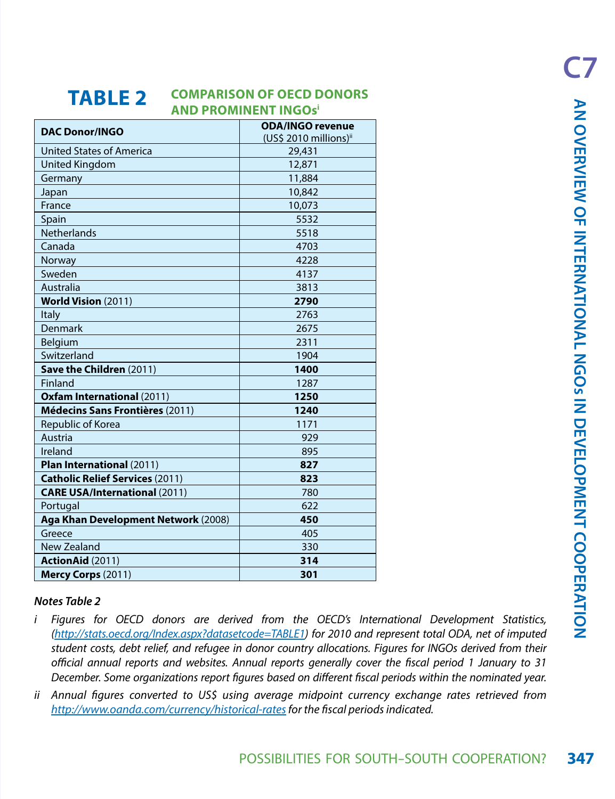#### **TABLE 2 COMPARISON OF OECD DONORS AND PROMINENT INGOsi**

| IADLL 4                                                                                                    | <b>AND PROMINENT INGOS</b> <sup>i</sup>      |                                            | <b>AN OVERVIEW OF</b>     |
|------------------------------------------------------------------------------------------------------------|----------------------------------------------|--------------------------------------------|---------------------------|
| <b>DAC Donor/INGO</b>                                                                                      | <b>ODA/INGO revenue</b>                      |                                            |                           |
| <b>United States of America</b>                                                                            | (US\$ 2010 millions) <sup>ii</sup><br>29,431 |                                            |                           |
|                                                                                                            |                                              |                                            |                           |
| United Kingdom                                                                                             | 12,871<br>11,884                             |                                            |                           |
| Germany                                                                                                    | 10,842                                       |                                            |                           |
| Japan<br>France                                                                                            | 10,073                                       |                                            |                           |
|                                                                                                            | 5532                                         |                                            |                           |
| Spain<br><b>Netherlands</b>                                                                                | 5518                                         |                                            |                           |
| Canada                                                                                                     |                                              |                                            |                           |
|                                                                                                            | 4703<br>4228                                 |                                            | <b>INTERNATIONAL NGOS</b> |
| Norway                                                                                                     | 4137                                         |                                            |                           |
| Sweden                                                                                                     |                                              |                                            |                           |
| Australia                                                                                                  | 3813                                         |                                            |                           |
| <b>World Vision (2011)</b>                                                                                 | 2790                                         |                                            |                           |
| <b>Italy</b>                                                                                               | 2763                                         |                                            |                           |
| Denmark                                                                                                    | 2675                                         |                                            |                           |
| Belgium                                                                                                    | 2311                                         |                                            |                           |
| Switzerland                                                                                                | 1904                                         |                                            |                           |
| Save the Children (2011)                                                                                   | 1400                                         |                                            |                           |
| Finland                                                                                                    | 1287                                         |                                            |                           |
| <b>Oxfam International (2011)</b>                                                                          | 1250                                         |                                            | Ż                         |
| Médecins Sans Frontières (2011)                                                                            | 1240                                         |                                            |                           |
| Republic of Korea                                                                                          | 1171                                         |                                            |                           |
| Austria                                                                                                    | 929                                          |                                            |                           |
| Ireland                                                                                                    | 895                                          |                                            |                           |
| Plan International (2011)                                                                                  | 827                                          |                                            |                           |
| <b>Catholic Relief Services (2011)</b>                                                                     | 823                                          |                                            |                           |
| <b>CARE USA/International (2011)</b>                                                                       | 780<br>622                                   |                                            | <b>DEVELOPMENT</b>        |
| Portugal<br>Aga Khan Development Network (2008)                                                            | 450                                          |                                            |                           |
| Greece                                                                                                     | 405                                          |                                            |                           |
|                                                                                                            | 330                                          |                                            |                           |
| New Zealand                                                                                                | 314                                          |                                            |                           |
| <b>ActionAid (2011)</b>                                                                                    |                                              |                                            |                           |
| Mercy Corps (2011)                                                                                         | 301                                          |                                            |                           |
| Notes Table 2                                                                                              |                                              |                                            | COOPERATION               |
|                                                                                                            |                                              |                                            |                           |
| Figures for OECD donors are derived from the OECD's International Development Statistics,<br>i             |                                              |                                            |                           |
| (http://stats.oecd.org/Index.aspx?datasetcode=TABLE1) for 2010 and represent total ODA, net of imputed     |                                              |                                            |                           |
| student costs, debt relief, and refugee in donor country allocations. Figures for INGOs derived from their |                                              |                                            |                           |
| official annual reports and websites. Annual reports generally cover the fiscal period 1 January to 31     |                                              |                                            |                           |
| December. Some organizations report figures based on different fiscal periods within the nominated year.   |                                              |                                            |                           |
| Annual figures converted to US\$ using average midpoint currency exchange rates retrieved from<br>İΪ       |                                              |                                            |                           |
| http://www.oanda.com/currency/historical-rates for the fiscal periods indicated.                           |                                              |                                            |                           |
|                                                                                                            |                                              |                                            |                           |
|                                                                                                            |                                              |                                            |                           |
|                                                                                                            |                                              | POSSIBILITIES FOR SOUTH-SOUTH COOPERATION? | 347                       |
|                                                                                                            |                                              |                                            |                           |

#### *Notes Table 2*

- *i Figures for OECD donors are derived from the OECD's International Development Statistics, [\(http://stats.oecd.org/Index.aspx?datasetcode=TABLE1](http://stats.oecd.org/Index.aspx?datasetcode=TABLE1)) for 2010 and represent total ODA, net of imputed student costs, debt relief, and refugee in donor country allocations. Figures for INGOs derived from their official annual reports and websites. Annual reports generally cover the fiscal period 1 January to 31 December. Some organizations report figures based on different fiscal periods within the nominated year.*
- *ii Annual figures converted to US\$ using average midpoint currency exchange rates retrieved from <http://www.oanda.com/currency/historical-rates> for the fiscal periods indicated.*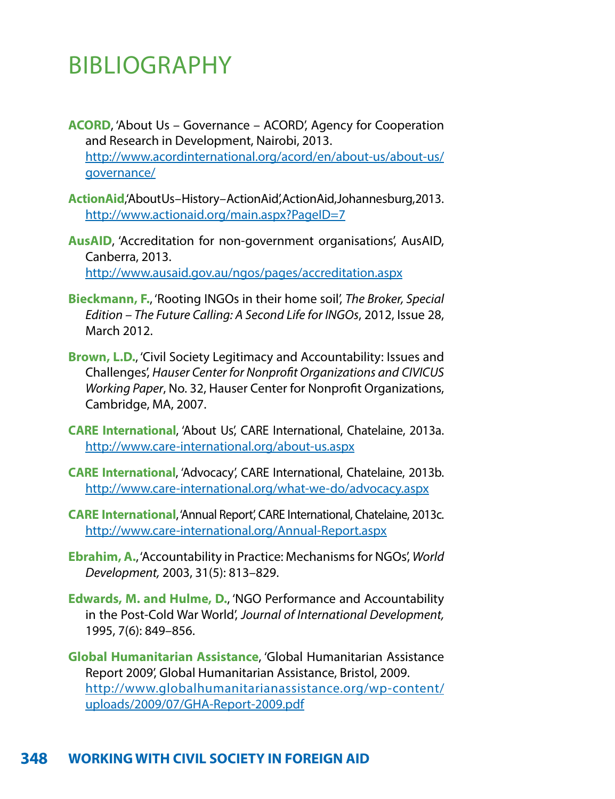# BIBLIOGRAPHY

- **ACORD**, 'About Us Governance ACORD', Agency for Cooperation and Research in Development, Nairobi, 2013. [http://www.acordinternational.org/acord/en/about-us/about-us/](http://www.acordinternational.org/acord/en/about-us/about-us/governance/) [governance/](http://www.acordinternational.org/acord/en/about-us/about-us/governance/)
- **ActionAid**, 'About Us History ActionAid', ActionAid, Johannesburg, 2013. <http://www.actionaid.org/main.aspx?PageID=7>
- **AusAID**, 'Accreditation for non-government organisations', AusAID, Canberra, 2013. <http://www.ausaid.gov.au/ngos/pages/accreditation.aspx>
- **Bieckmann, F.**, 'Rooting INGOs in their home soil', *The Broker, Special Edition – The Future Calling: A Second Life for INGOs*, 2012, Issue 28, March 2012.
- **Brown, L.D.**, 'Civil Society Legitimacy and Accountability: Issues and Challenges', *Hauser Center for Nonprofit Organizations and CIVICUS Working Paper*, No. 32, Hauser Center for Nonprofit Organizations, Cambridge, MA, 2007.
- **CARE International**, 'About Us', CARE International, Chatelaine, 2013a. <http://www.care-international.org/about-us.aspx>
- **CARE International**, 'Advocacy', CARE International, Chatelaine, 2013b. <http://www.care-international.org/what-we-do/advocacy.aspx>
- **CARE International**, 'Annual Report', CARE International, Chatelaine, 2013c. <http://www.care-international.org/Annual-Report.aspx>
- **Ebrahim, A.**, 'Accountability in Practice: Mechanisms for NGOs', *World Development,* 2003, 31(5): 813–829.
- **Edwards, M. and Hulme, D.**, 'NGO Performance and Accountability in the Post-Cold War World', *Journal of International Development,*  1995, 7(6): 849–856.
- **Global Humanitarian Assistance**, 'Global Humanitarian Assistance Report 2009', Global Humanitarian Assistance, Bristol, 2009. [http://www.globalhumanitarianassistance.org/wp-content/](http://www.globalhumanitarianassistance.org/wp-content/uploads/2009/07/GHA-Report-2009.pdf) [uploads/2009/07/GHA-Report-2009.pdf](http://www.globalhumanitarianassistance.org/wp-content/uploads/2009/07/GHA-Report-2009.pdf)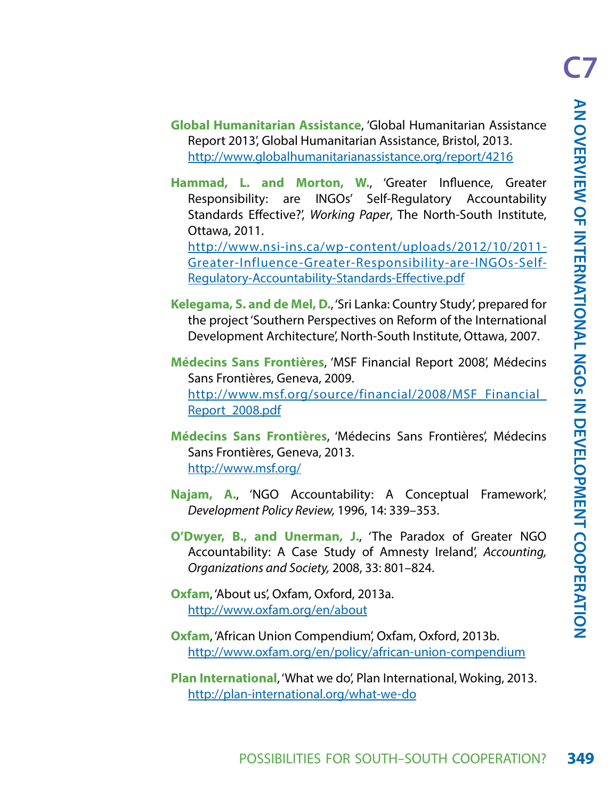- **Global Humanitarian Assistance**, 'Global Humanitarian Assistance Report 2013', Global Humanitarian Assistance, Bristol, 2013. <http://www.globalhumanitarianassistance.org/report/4216>
- **Hammad, L. and Morton, W.**, 'Greater Influence, Greater Responsibility: are INGOs' Self-Regulatory Accountability Standards Effective?', *Working Paper*, The North-South Institute, Ottawa, 2011.

[http://www.nsi-ins.ca/wp-content/uploads/2012/10/2011-](http://www.nsi-ins.ca/wp-content/uploads/2012/10/2011-Greater-Influence-Greater-Responsibility-are-INGOs-Self-Regulatory-Accountability-Standards-Effective.pdf) [Greater-Influence-Greater-Responsibility-are-INGOs-Self-](http://www.nsi-ins.ca/wp-content/uploads/2012/10/2011-Greater-Influence-Greater-Responsibility-are-INGOs-Self-Regulatory-Accountability-Standards-Effective.pdf)[Regulatory-Accountability-Standards-Effective.pdf](http://www.nsi-ins.ca/wp-content/uploads/2012/10/2011-Greater-Influence-Greater-Responsibility-are-INGOs-Self-Regulatory-Accountability-Standards-Effective.pdf)

- **Kelegama, S. and de Mel, D.**, 'Sri Lanka: Country Study', prepared for the project 'Southern Perspectives on Reform of the International Development Architecture', North-South Institute, Ottawa, 2007.
- **Médecins Sans Frontières**, 'MSF Financial Report 2008', Médecins Sans Frontières, Geneva, 2009. [http://www.msf.org/source/financial/2008/MSF\\_Financial\\_](http://www.msf.org/source/financial/2008/MSF_Financial_Report_2008.pdf) [Report\\_2008.pdf](http://www.msf.org/source/financial/2008/MSF_Financial_Report_2008.pdf)
- **Médecins Sans Frontières**, 'Médecins Sans Frontières', Médecins Sans Frontières, Geneva, 2013. <http://www.msf.org/>
- **Najam, A.**, 'NGO Accountability: A Conceptual Framework', *Development Policy Review,* 1996, 14: 339–353.
- **O'Dwyer, B., and Unerman, J.**, 'The Paradox of Greater NGO Accountability: A Case Study of Amnesty Ireland', *Accounting, Organizations and Society,* 2008, 33: 801–824.

**Oxfam**, 'About us', Oxfam, Oxford, 2013a. <http://www.oxfam.org/en/about>

- **Oxfam**, 'African Union Compendium', Oxfam, Oxford, 2013b. <http://www.oxfam.org/en/policy/african-union-compendium>
- **Plan International**, 'What we do', Plan International, Woking, 2013. <http://plan-international.org/what-we-do>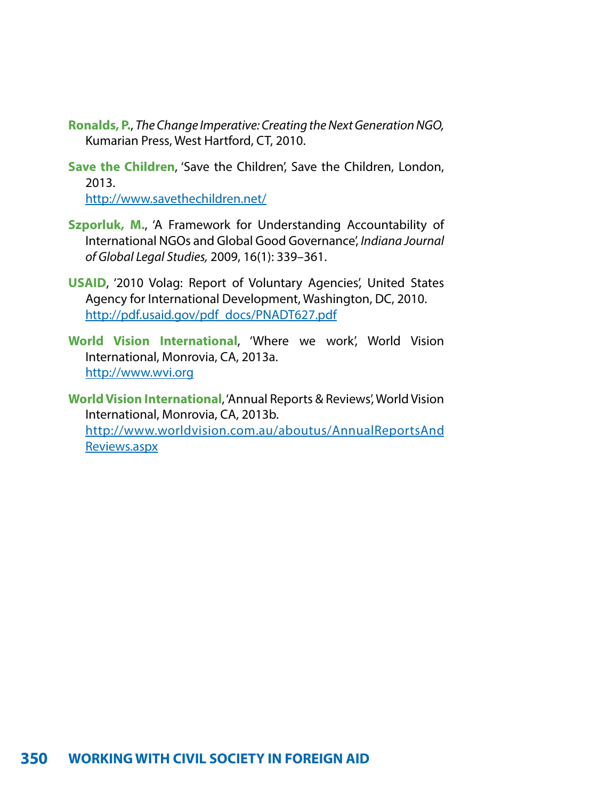- **Ronalds, P.**, *The Change Imperative: Creating the Next Generation NGO,* Kumarian Press, West Hartford, CT, 2010.
- **Save the Children**, 'Save the Children', Save the Children, London, 2013. <http://www.savethechildren.net/>
- **Szporluk, M.**, 'A Framework for Understanding Accountability of International NGOs and Global Good Governance', *Indiana Journal of Global Legal Studies,* 2009, 16(1): 339–361.
- **USAID**, '2010 Volag: Report of Voluntary Agencies', United States Agency for International Development, Washington, DC, 2010. [http://pdf.usaid.gov/pdf\\_docs/PNADT627.pdf](http://pdf.usaid.gov/pdf_docs/PNADT627.pdf)
- **World Vision International**, 'Where we work', World Vision International, Monrovia, CA, 2013a. <http://www.wvi.org>
- **World Vision International**, 'Annual Reports & Reviews', World Vision International, Monrovia, CA, 2013b. <http://www.worldvision.com.au/aboutus/AnnualReportsAnd> <Reviews.aspx>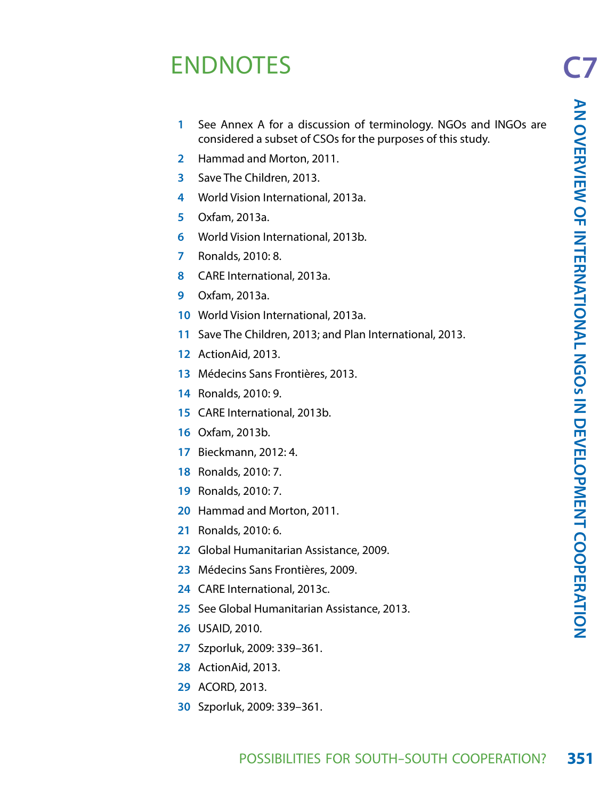# ENDNOTES

- See Annex A for a discussion of terminology. NGOs and INGOs are considered a subset of CSOs for the purposes of this study.
- Hammad and Morton, 2011.
- Save The Children, 2013.
- World Vision International, 2013a.
- Oxfam, 2013a.
- World Vision International, 2013b.
- Ronalds, 2010: 8.
- CARE International, 2013a.
- Oxfam, 2013a.
- World Vision International, 2013a.
- Save The Children, 2013; and Plan International, 2013.
- ActionAid, 2013.
- Médecins Sans Frontières, 2013.
- Ronalds, 2010: 9.
- CARE International, 2013b.
- Oxfam, 2013b.
- Bieckmann, 2012: 4.
- Ronalds, 2010: 7.
- Ronalds, 2010: 7.
- Hammad and Morton, 2011.
- Ronalds, 2010: 6.
- Global Humanitarian Assistance, 2009.
- Médecins Sans Frontières, 2009.
- CARE International, 2013c.
- See Global Humanitarian Assistance, 2013.
- USAID, 2010.
- Szporluk, 2009: 339–361.
- ActionAid, 2013.
- ACORD, 2013.
- Szporluk, 2009: 339–361.